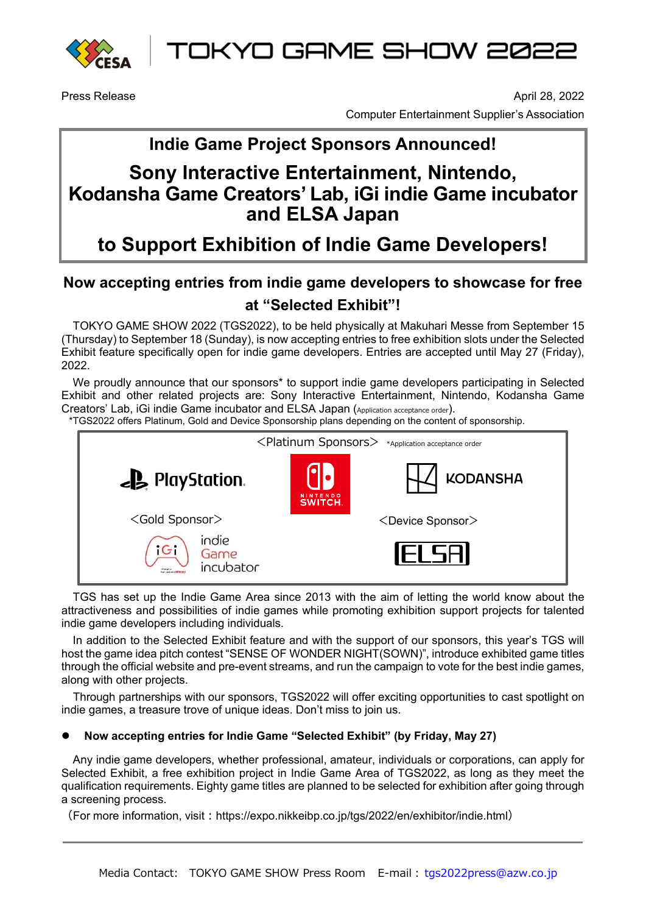

TOKYO GAME SHOW 2022

Press Release April 28, 2022 Computer Entertainment Supplier's Association

## **Indie Game Project Sponsors Announced!**

# **Sony Interactive Entertainment, Nintendo, Kodansha Game Creators' Lab, iGi indie Game incubator and ELSA Japan**

**to Support Exhibition of Indie Game Developers!**

### **Now accepting entries from indie game developers to showcase for free at "Selected Exhibit"!**

TOKYO GAME SHOW 2022 (TGS2022), to be held physically at Makuhari Messe from September 15 (Thursday) to September 18 (Sunday), is now accepting entries to free exhibition slots under the Selected Exhibit feature specifically open for indie game developers. Entries are accepted until May 27 (Friday), 2022.

We proudly announce that our sponsors<sup>\*</sup> to support indie game developers participating in Selected Exhibit and other related projects are: Sony Interactive Entertainment, Nintendo, Kodansha Game Creators' Lab, iGi indie Game incubator and ELSA Japan (Application acceptance order).

\*TGS2022 offers Platinum, Gold and Device Sponsorship plans depending on the content of sponsorship.



TGS has set up the Indie Game Area since 2013 with the aim of letting the world know about the attractiveness and possibilities of indie games while promoting exhibition support projects for talented indie game developers including individuals.

In addition to the Selected Exhibit feature and with the support of our sponsors, this year's TGS will host the game idea pitch contest "SENSE OF WONDER NIGHT(SOWN)", introduce exhibited game titles through the official website and pre-event streams, and run the campaign to vote for the best indie games, along with other projects.

Through partnerships with our sponsors, TGS2022 will offer exciting opportunities to cast spotlight on indie games, a treasure trove of unique ideas. Don't miss to join us.

#### **Now accepting entries for Indie Game "Selected Exhibit" (by Friday, May 27)**

Any indie game developers, whether professional, amateur, individuals or corporations, can apply for Selected Exhibit, a free exhibition project in Indie Game Area of TGS2022, as long as they meet the qualification requirements. Eighty game titles are planned to be selected for exhibition after going through a screening process.

(For more information, visit:https://expo.nikkeibp.co.jp/tgs/2022/en/exhibitor/indie.html)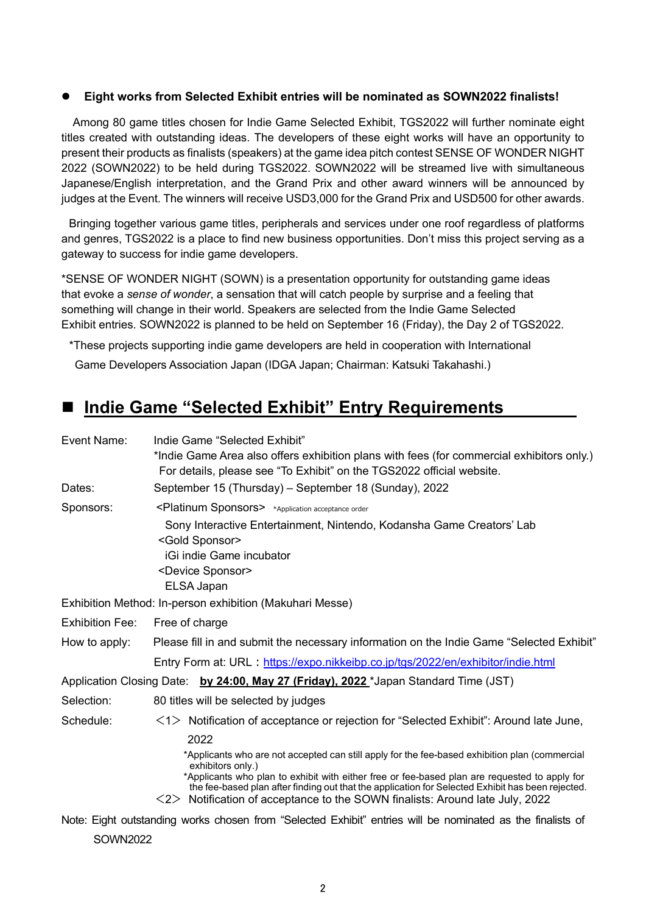#### **Eight works from Selected Exhibit entries will be nominated as SOWN2022 finalists!**

Among 80 game titles chosen for Indie Game Selected Exhibit, TGS2022 will further nominate eight titles created with outstanding ideas. The developers of these eight works will have an opportunity to present their products as finalists (speakers) at the game idea pitch contest SENSE OF WONDER NIGHT 2022 (SOWN2022) to be held during TGS2022. SOWN2022 will be streamed live with simultaneous Japanese/English interpretation, and the Grand Prix and other award winners will be announced by judges at the Event. The winners will receive USD3,000 for the Grand Prix and USD500 for other awards.

Bringing together various game titles, peripherals and services under one roof regardless of platforms and genres, TGS2022 is a place to find new business opportunities. Don't miss this project serving as a gateway to success for indie game developers.

\*SENSE OF WONDER NIGHT (SOWN) is a presentation opportunity for outstanding game ideas that evoke a *sense of wonder*, a sensation that will catch people by surprise and a feeling that something will change in their world. Speakers are selected from the Indie Game Selected Exhibit entries. SOWN2022 is planned to be held on September 16 (Friday), the Day 2 of TGS2022.

\*These projects supporting indie game developers are held in cooperation with International

Game Developers Association Japan (IDGA Japan; Chairman: Katsuki Takahashi.)

### ■ Indie Game "Selected Exhibit" Entry Requirements

| Event Name:                                                                          | Indie Game "Selected Exhibit"<br>*Indie Game Area also offers exhibition plans with fees (for commercial exhibitors only.)<br>For details, please see "To Exhibit" on the TGS2022 official website.                                                                                                                                                                                                                               |  |
|--------------------------------------------------------------------------------------|-----------------------------------------------------------------------------------------------------------------------------------------------------------------------------------------------------------------------------------------------------------------------------------------------------------------------------------------------------------------------------------------------------------------------------------|--|
| Dates:                                                                               | September 15 (Thursday) – September 18 (Sunday), 2022                                                                                                                                                                                                                                                                                                                                                                             |  |
| Sponsors:                                                                            | <platinum sponsors=""> *Application acceptance order</platinum>                                                                                                                                                                                                                                                                                                                                                                   |  |
|                                                                                      | Sony Interactive Entertainment, Nintendo, Kodansha Game Creators' Lab<br><gold sponsor=""><br/>iGi indie Game incubator<br/><device sponsor=""><br/>ELSA Japan</device></gold>                                                                                                                                                                                                                                                    |  |
|                                                                                      | Exhibition Method: In-person exhibition (Makuhari Messe)                                                                                                                                                                                                                                                                                                                                                                          |  |
| <b>Exhibition Fee:</b>                                                               | Free of charge                                                                                                                                                                                                                                                                                                                                                                                                                    |  |
| How to apply:                                                                        | Please fill in and submit the necessary information on the Indie Game "Selected Exhibit"                                                                                                                                                                                                                                                                                                                                          |  |
|                                                                                      | Entry Form at: URL: https://expo.nikkeibp.co.jp/tgs/2022/en/exhibitor/indie.html                                                                                                                                                                                                                                                                                                                                                  |  |
| Application Closing Date: by 24:00, May 27 (Friday), 2022 *Japan Standard Time (JST) |                                                                                                                                                                                                                                                                                                                                                                                                                                   |  |
| Selection:                                                                           | 80 titles will be selected by judges                                                                                                                                                                                                                                                                                                                                                                                              |  |
| Schedule:                                                                            | $\langle 1 \rangle$ Notification of acceptance or rejection for "Selected Exhibit": Around late June,                                                                                                                                                                                                                                                                                                                             |  |
|                                                                                      | 2022<br>*Applicants who are not accepted can still apply for the fee-based exhibition plan (commercial<br>exhibitors only.)<br>*Applicants who plan to exhibit with either free or fee-based plan are requested to apply for<br>the fee-based plan after finding out that the application for Selected Exhibit has been rejected.<br>$\langle 2 \rangle$ Notification of acceptance to the SOWN finalists: Around late July, 2022 |  |
|                                                                                      | Note: Eight outstanding works chosen from "Selected Exhibit" entries will be nominated as the finalists of                                                                                                                                                                                                                                                                                                                        |  |

SOWN2022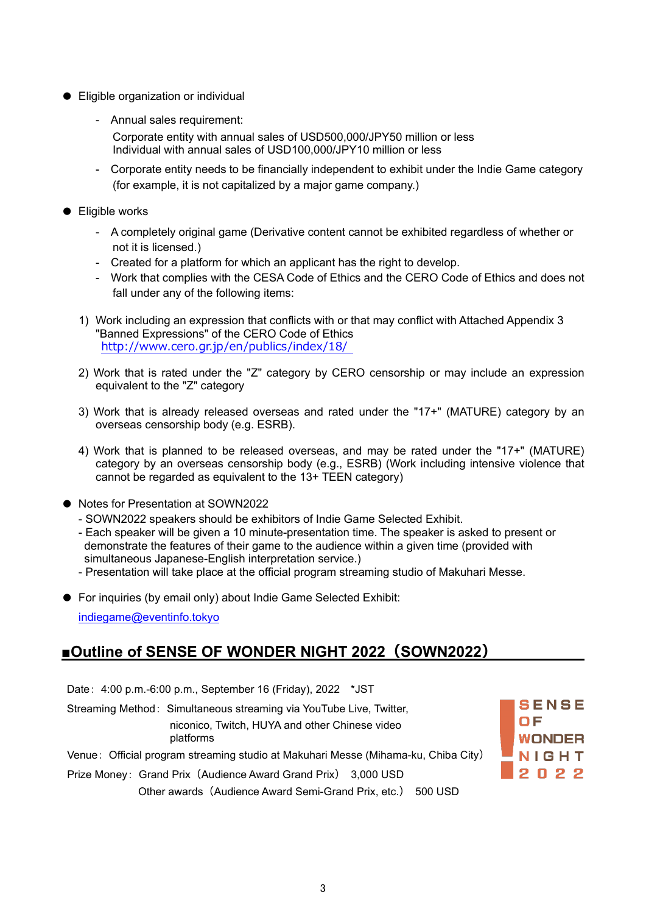- Eligible organization or individual
	- Annual sales requirement:
		- Corporate entity with annual sales of USD500,000/JPY50 million or less Individual with annual sales of USD100,000/JPY10 million or less
	- Corporate entity needs to be financially independent to exhibit under the Indie Game category (for example, it is not capitalized by a major game company.)
- Eligible works
	- A completely original game (Derivative content cannot be exhibited regardless of whether or not it is licensed.)
	- Created for a platform for which an applicant has the right to develop.
	- Work that complies with the CESA Code of Ethics and the CERO Code of Ethics and does not fall under any of the following items:
	- 1) Work including an expression that conflicts with or that may conflict with Attached Appendix 3 "Banned Expressions" of the CERO Code of Ethics <http://www.cero.gr.jp/en/publics/index/18/>
	- 2) Work that is rated under the "Z" category by CERO censorship or may include an expression equivalent to the "Z" category
	- 3) Work that is already released overseas and rated under the "17+" (MATURE) category by an overseas censorship body (e.g. ESRB).
	- 4) Work that is planned to be released overseas, and may be rated under the "17+" (MATURE) category by an overseas censorship body (e.g., ESRB) (Work including intensive violence that cannot be regarded as equivalent to the 13+ TEEN category)
- Notes for Presentation at SOWN2022
	- SOWN2022 speakers should be exhibitors of Indie Game Selected Exhibit.
	- Each speaker will be given a 10 minute-presentation time. The speaker is asked to present or demonstrate the features of their game to the audience within a given time (provided with simultaneous Japanese-English interpretation service.)
	- Presentation will take place at the official program streaming studio of Makuhari Messe.
- For inquiries (by email only) about Indie Game Selected Exhibit: [indiegame@eventinfo.tokyo](mailto:indiegame@eventinfo.tokyo)

### **■Outline of SENSE OF WONDER NIGHT 2022(SOWN2022)**

| Date: 4:00 p.m.-6:00 p.m., September 16 (Friday), 2022 *JST                                                                        |                                         |
|------------------------------------------------------------------------------------------------------------------------------------|-----------------------------------------|
| Streaming Method: Simultaneous streaming via YouTube Live, Twitter,<br>niconico, Twitch, HUYA and other Chinese video<br>platforms | <b>ISENSE</b><br>I O F<br><b>WONDER</b> |
| Venue: Official program streaming studio at Makuhari Messe (Mihama-ku, Chiba City)                                                 | NIGHT                                   |
| Prize Money: Grand Prix (Audience Award Grand Prix) 3,000 USD                                                                      | 2022                                    |
| Other awards (Audience Award Semi-Grand Prix, etc.) 500 USD                                                                        |                                         |